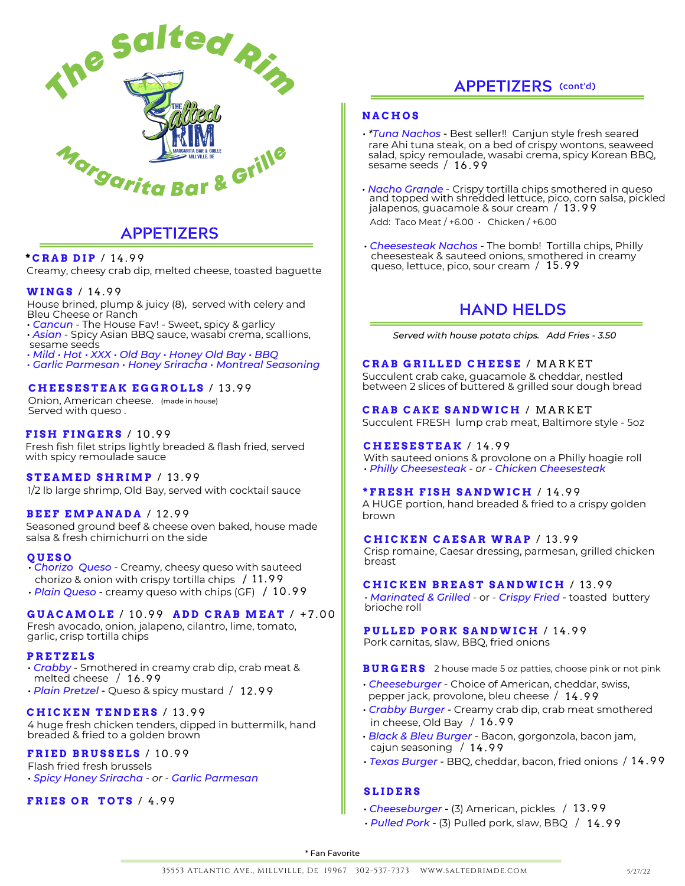

## **APPETIZERS**

### **\* C R A B D I P** / 1 4 . 9 9

Creamy, cheesy crab dip, melted cheese, toasted baguette

### **WI N G S** / 1 4 . 9 9

House brined, plump & juicy (8), served with celery and Bleu Cheese or Ranch

- *Cancun* The House Fav! Sweet, spicy & garlicy • *Asian* - Spicy Asian BBQ sauce, wasabi crema, scallions, sesame seeds
- *Mild • Hot • XXX • Old Bay • Honey Old Bay • BBQ*

*• Garlic Parmesan • Honey Sriracha* • *Montreal Seasoning*

### **C H E E S E S T E A K E G G R O L L S** / 1 3 . 9 9

Onion, American cheese. (made in house) Served with queso .

### **F I S H F I N G E R S** / 1 0 . 9 9

Fresh fish filet strips lightly breaded & flash fried, served with spicy remoulade sauce

### **S T E AME D S H R IMP** / 1 3 . 9 9

1/2 lb large shrimp, Old Bay, served with cocktail sauce

### **B E E F EMP A N A D A** / 1 2 . 9 9

Seasoned ground beef & cheese oven baked, house made salsa & fresh chimichurri on the side

### **Q U E S O**

- *Chorizo Queso* Creamy, cheesy queso with sauteed chorizo & onion with crispy tortilla chips / 11.99
- *Plain Queso* creamy queso with chips (GF) / 10.99

### **G U A C AMO L E** / 1 0 . 9 9 **A D D C R A B ME A T** / + 7 . 0 0

Fresh avocado, onion, jalapeno, cilantro, lime, tomato, garlic, crisp tortilla chips

### **P R E T Z E L S**

- *Crabby* Smothered in creamy crab dip, crab meat & melted cheese  $/16.99$
- *Plain Pretzel* Queso & spicy mustard / 12.99

### **C H I C K E N T E N D E R S** / 1 3 . 9 9

4 huge fresh chicken tenders, dipped in buttermilk, hand breaded & fried to a golden brown

### **F R I E D B R U S S E L S** / 1 0 . 9 9

Flash fried fresh brussels *• Spicy Honey Sriracha - or - Garlic Parmesan*

### **F R I E S O R T O T S** / 4 . 9 9

### **N A C H O S**

- *\*Tuna Nachos* Best seller!! Canjun style fresh seared rare Ahi tuna steak, on a bed of crispy wontons, seaweed salad, spicy remoulade, wasabi crema, spicy Korean BBQ, sesame seeds / 16.99
- *Nacho Grande* Crispy tortilla chips smothered in queso and topped with shredded lettuce, pico, corn salsa, pickled jalapenos, guacamole & sour cream / 1 3 . 9 9 Add: Taco Meat /  $+6.00 \cdot$  Chicken /  $+6.00$
- *Cheesesteak Nachos* The bomb! Tortilla chips, Philly cheesesteak & sauteed onions, smothered in creamy queso, lettuce, pico, sour cream / 15.99

## **HAND HELDS**

*Served with house potato chips. Add Fries - 3.50*

### **C R A B G R I L L E D C H E E S E** / M A R K E T

Succulent crab cake, guacamole & cheddar, nestled between 2 slices of buttered & grilled sour dough bread

**C R A B C A K E S A N DWI C H** / M A R K E T Succulent FRESH lump crab meat, Baltimore style - 5oz

### **C H E E S E S T E A K** / 1 4 . 9 9

With sauteed onions & provolone on a Philly hoagie roll *• Philly Cheesesteak - or - Chicken Cheesesteak*

### **\* F R E S H F I S H S A N DWI C H** / 1 4 . 9 9

A HUGE portion, hand breaded & fried to a crispy golden brown

### **C H I C K E N C A E S A R WR A P** / 1 3 . 9 9

Crisp romaine, Caesar dressing, parmesan, grilled chicken breast

### **C H I C K E N B R E A S T S A N DWI C H** / 1 3 . 9 9

• *Marinated & Grilled* - or - *Crispy Fried -* toasted buttery brioche roll

## **P U L L E D P O R K S A N DWI C H** / 1 4 . 9 9

Pork carnitas, slaw, BBQ, fried onions

### **B U R G E R S** 2 house made 5 oz patties, choose pink or not pink

- *Cheeseburger* Choice of American, cheddar, swiss, pepper jack, provolone, bleu cheese / 1 4 . 9 9
- *Crabby Burger* Creamy crab dip, crab meat smothered in cheese, Old Bay  $/ 16.99$
- *Black & Bleu Burger* Bacon, gorgonzola, bacon jam, cajun seasoning / 14.99
- *Texas Burger* BBQ, cheddar, bacon, fried onions / 1 4 . 9 9

### **S L I D E R S**

- *Cheeseburger* (3) American, pickles / 13.99
- *Pulled Pork* (3) Pulled pork, slaw, BBQ / 1 4 . 9 9